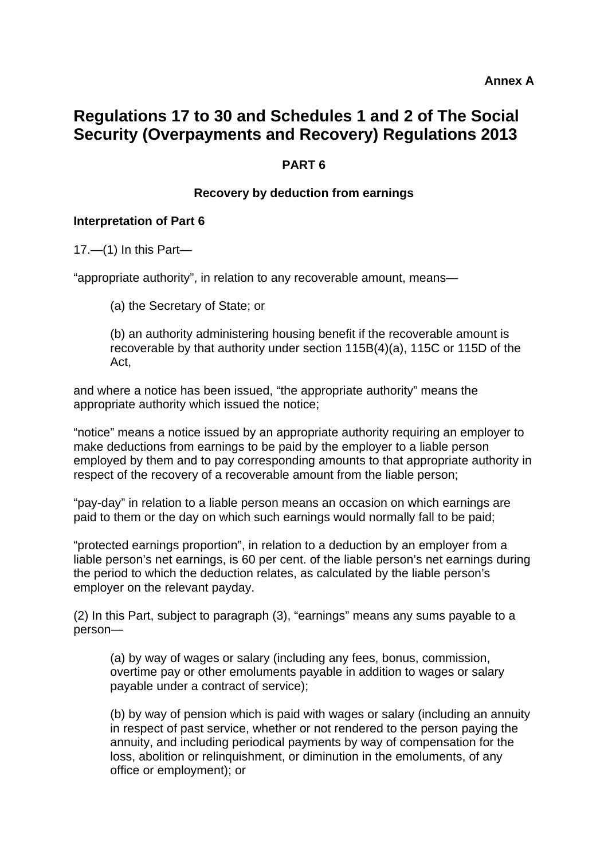# **Regulations 17 to 30 and Schedules 1 and 2 of The Social Security (Overpayments and Recovery) Regulations 2013**

# **PART 6**

#### **Recovery by deduction from earnings**

#### **Interpretation of Part 6**

 $17.$ —(1) In this Part—

"appropriate authority", in relation to any recoverable amount, means—

(a) the Secretary of State; or

(b) an authority administering housing benefit if the recoverable amount is recoverable by that authority under section 115B(4)(a), 115C or 115D of the Act,

and where a notice has been issued, "the appropriate authority" means the appropriate authority which issued the notice;

"notice" means a notice issued by an appropriate authority requiring an employer to make deductions from earnings to be paid by the employer to a liable person employed by them and to pay corresponding amounts to that appropriate authority in respect of the recovery of a recoverable amount from the liable person;

"pay-day" in relation to a liable person means an occasion on which earnings are paid to them or the day on which such earnings would normally fall to be paid;

"protected earnings proportion", in relation to a deduction by an employer from a liable person's net earnings, is 60 per cent. of the liable person's net earnings during the period to which the deduction relates, as calculated by the liable person's employer on the relevant payday.

(2) In this Part, subject to paragraph (3), "earnings" means any sums payable to a person—

(a) by way of wages or salary (including any fees, bonus, commission, overtime pay or other emoluments payable in addition to wages or salary payable under a contract of service);

(b) by way of pension which is paid with wages or salary (including an annuity in respect of past service, whether or not rendered to the person paying the annuity, and including periodical payments by way of compensation for the loss, abolition or relinquishment, or diminution in the emoluments, of any office or employment); or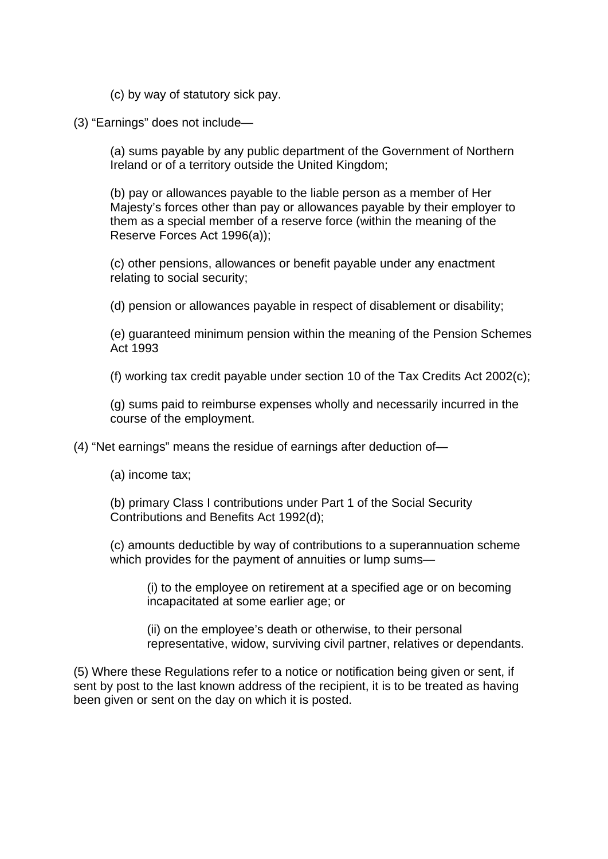- (c) by way of statutory sick pay.
- (3) "Earnings" does not include—

(a) sums payable by any public department of the Government of Northern Ireland or of a territory outside the United Kingdom;

(b) pay or allowances payable to the liable person as a member of Her Majesty's forces other than pay or allowances payable by their employer to them as a special member of a reserve force (within the meaning of the Reserve Forces Act 1996(a));

(c) other pensions, allowances or benefit payable under any enactment relating to social security;

(d) pension or allowances payable in respect of disablement or disability;

(e) guaranteed minimum pension within the meaning of the Pension Schemes Act 1993

(f) working tax credit payable under section 10 of the Tax Credits Act 2002(c);

(g) sums paid to reimburse expenses wholly and necessarily incurred in the course of the employment.

(4) "Net earnings" means the residue of earnings after deduction of—

(a) income tax;

(b) primary Class I contributions under Part 1 of the Social Security Contributions and Benefits Act 1992(d);

(c) amounts deductible by way of contributions to a superannuation scheme which provides for the payment of annuities or lump sums—

(i) to the employee on retirement at a specified age or on becoming incapacitated at some earlier age; or

(ii) on the employee's death or otherwise, to their personal representative, widow, surviving civil partner, relatives or dependants.

(5) Where these Regulations refer to a notice or notification being given or sent, if sent by post to the last known address of the recipient, it is to be treated as having been given or sent on the day on which it is posted.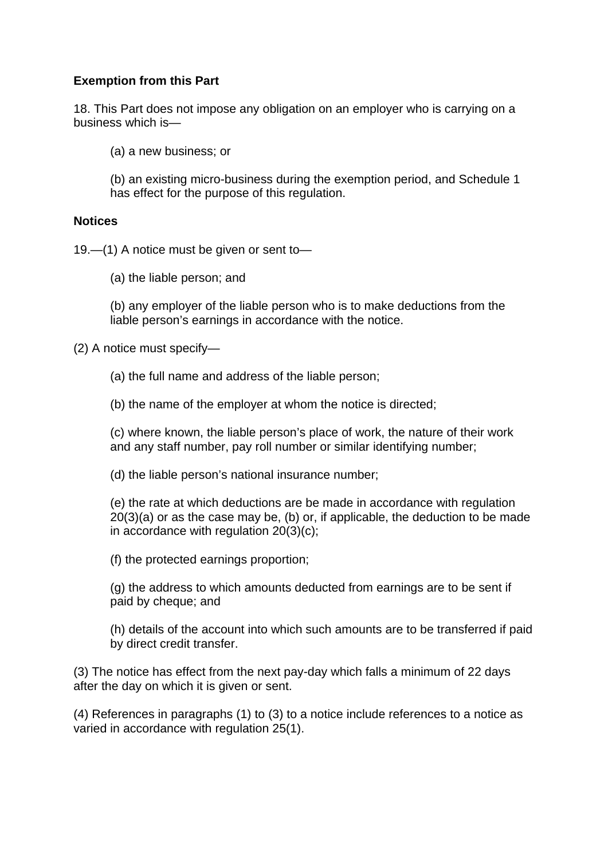# **Exemption from this Part**

18. This Part does not impose any obligation on an employer who is carrying on a business which is—

(a) a new business; or

(b) an existing micro-business during the exemption period, and Schedule 1 has effect for the purpose of this regulation.

#### **Notices**

19.—(1) A notice must be given or sent to—

(a) the liable person; and

(b) any employer of the liable person who is to make deductions from the liable person's earnings in accordance with the notice.

(2) A notice must specify—

(a) the full name and address of the liable person;

(b) the name of the employer at whom the notice is directed;

(c) where known, the liable person's place of work, the nature of their work and any staff number, pay roll number or similar identifying number;

(d) the liable person's national insurance number;

(e) the rate at which deductions are be made in accordance with regulation 20(3)(a) or as the case may be, (b) or, if applicable, the deduction to be made in accordance with regulation 20(3)(c);

(f) the protected earnings proportion;

(g) the address to which amounts deducted from earnings are to be sent if paid by cheque; and

(h) details of the account into which such amounts are to be transferred if paid by direct credit transfer.

(3) The notice has effect from the next pay-day which falls a minimum of 22 days after the day on which it is given or sent.

(4) References in paragraphs (1) to (3) to a notice include references to a notice as varied in accordance with regulation 25(1).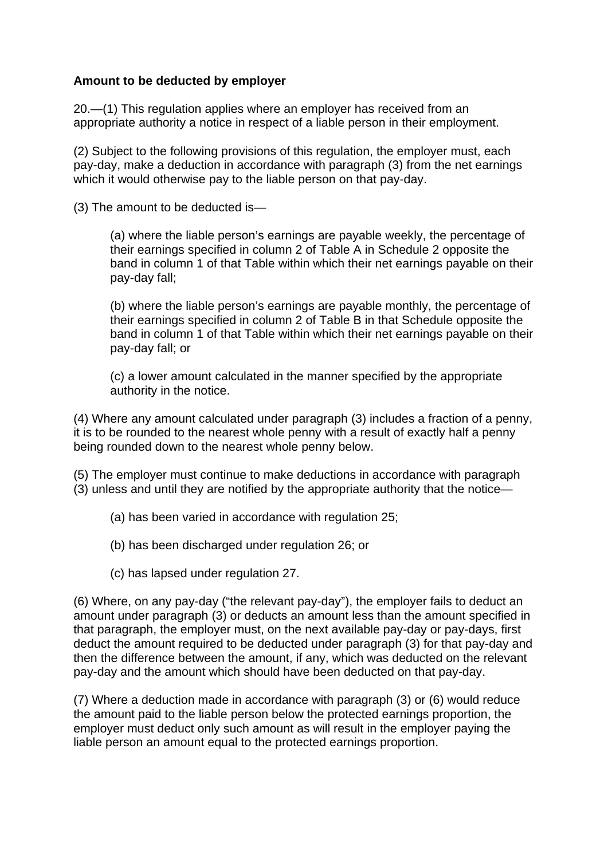# **Amount to be deducted by employer**

20.—(1) This regulation applies where an employer has received from an appropriate authority a notice in respect of a liable person in their employment.

(2) Subject to the following provisions of this regulation, the employer must, each pay-day, make a deduction in accordance with paragraph (3) from the net earnings which it would otherwise pay to the liable person on that pay-day.

(3) The amount to be deducted is—

(a) where the liable person's earnings are payable weekly, the percentage of their earnings specified in column 2 of Table A in Schedule 2 opposite the band in column 1 of that Table within which their net earnings payable on their pay-day fall;

(b) where the liable person's earnings are payable monthly, the percentage of their earnings specified in column 2 of Table B in that Schedule opposite the band in column 1 of that Table within which their net earnings payable on their pay-day fall; or

(c) a lower amount calculated in the manner specified by the appropriate authority in the notice.

(4) Where any amount calculated under paragraph (3) includes a fraction of a penny, it is to be rounded to the nearest whole penny with a result of exactly half a penny being rounded down to the nearest whole penny below.

(5) The employer must continue to make deductions in accordance with paragraph (3) unless and until they are notified by the appropriate authority that the notice—

- (a) has been varied in accordance with regulation 25;
- (b) has been discharged under regulation 26; or
- (c) has lapsed under regulation 27.

(6) Where, on any pay-day ("the relevant pay-day"), the employer fails to deduct an amount under paragraph (3) or deducts an amount less than the amount specified in that paragraph, the employer must, on the next available pay-day or pay-days, first deduct the amount required to be deducted under paragraph (3) for that pay-day and then the difference between the amount, if any, which was deducted on the relevant pay-day and the amount which should have been deducted on that pay-day.

(7) Where a deduction made in accordance with paragraph (3) or (6) would reduce the amount paid to the liable person below the protected earnings proportion, the employer must deduct only such amount as will result in the employer paying the liable person an amount equal to the protected earnings proportion.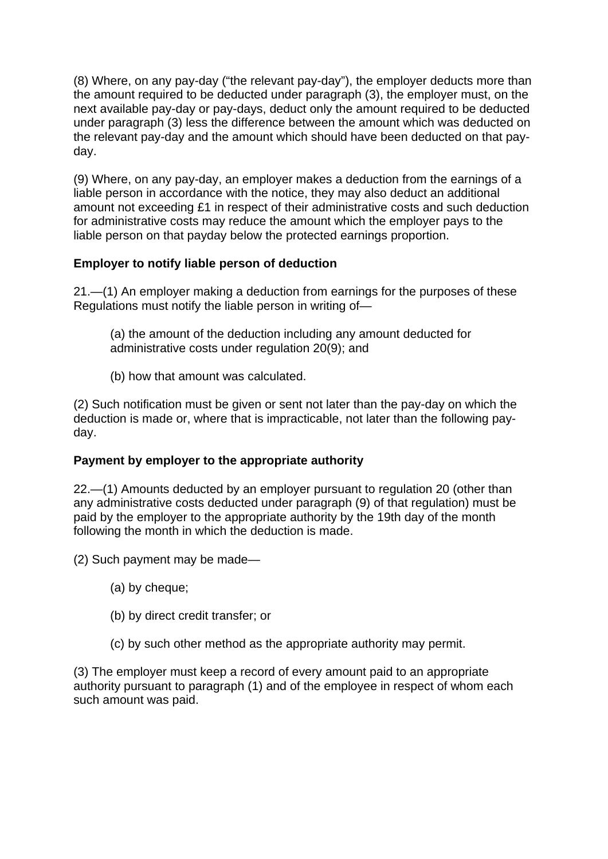(8) Where, on any pay-day ("the relevant pay-day"), the employer deducts more than the amount required to be deducted under paragraph (3), the employer must, on the next available pay-day or pay-days, deduct only the amount required to be deducted under paragraph (3) less the difference between the amount which was deducted on the relevant pay-day and the amount which should have been deducted on that payday.

(9) Where, on any pay-day, an employer makes a deduction from the earnings of a liable person in accordance with the notice, they may also deduct an additional amount not exceeding £1 in respect of their administrative costs and such deduction for administrative costs may reduce the amount which the employer pays to the liable person on that payday below the protected earnings proportion.

# **Employer to notify liable person of deduction**

21.—(1) An employer making a deduction from earnings for the purposes of these Regulations must notify the liable person in writing of—

- (a) the amount of the deduction including any amount deducted for administrative costs under regulation 20(9); and
- (b) how that amount was calculated.

(2) Such notification must be given or sent not later than the pay-day on which the deduction is made or, where that is impracticable, not later than the following payday.

# **Payment by employer to the appropriate authority**

22.—(1) Amounts deducted by an employer pursuant to regulation 20 (other than any administrative costs deducted under paragraph (9) of that regulation) must be paid by the employer to the appropriate authority by the 19th day of the month following the month in which the deduction is made.

(2) Such payment may be made—

- (a) by cheque;
- (b) by direct credit transfer; or
- (c) by such other method as the appropriate authority may permit.

(3) The employer must keep a record of every amount paid to an appropriate authority pursuant to paragraph (1) and of the employee in respect of whom each such amount was paid.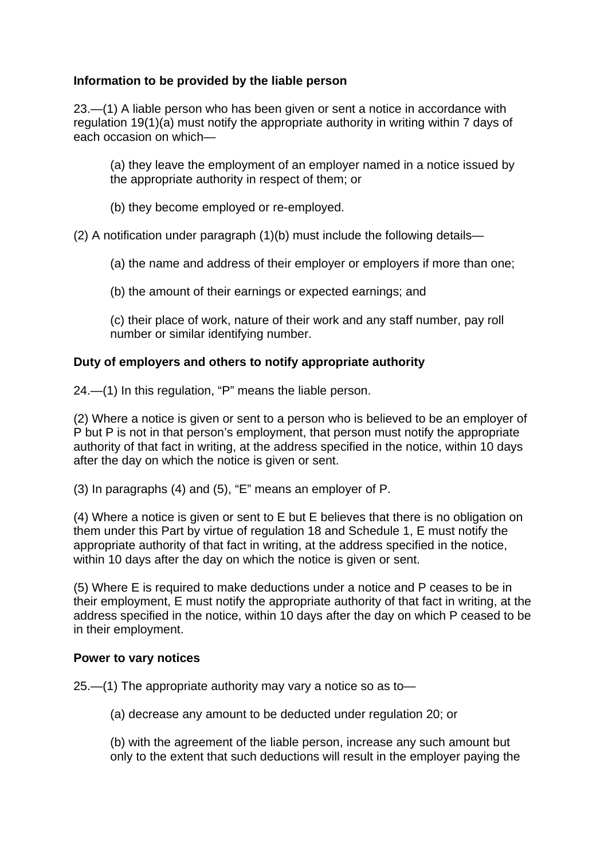# **Information to be provided by the liable person**

23.—(1) A liable person who has been given or sent a notice in accordance with regulation 19(1)(a) must notify the appropriate authority in writing within 7 days of each occasion on which—

(a) they leave the employment of an employer named in a notice issued by the appropriate authority in respect of them; or

(b) they become employed or re-employed.

(2) A notification under paragraph (1)(b) must include the following details—

(a) the name and address of their employer or employers if more than one;

(b) the amount of their earnings or expected earnings; and

(c) their place of work, nature of their work and any staff number, pay roll number or similar identifying number.

# **Duty of employers and others to notify appropriate authority**

24.—(1) In this regulation, "P" means the liable person.

(2) Where a notice is given or sent to a person who is believed to be an employer of P but P is not in that person's employment, that person must notify the appropriate authority of that fact in writing, at the address specified in the notice, within 10 days after the day on which the notice is given or sent.

(3) In paragraphs (4) and (5), "E" means an employer of P.

(4) Where a notice is given or sent to E but E believes that there is no obligation on them under this Part by virtue of regulation 18 and Schedule 1, E must notify the appropriate authority of that fact in writing, at the address specified in the notice, within 10 days after the day on which the notice is given or sent.

(5) Where E is required to make deductions under a notice and P ceases to be in their employment, E must notify the appropriate authority of that fact in writing, at the address specified in the notice, within 10 days after the day on which P ceased to be in their employment.

### **Power to vary notices**

25.—(1) The appropriate authority may vary a notice so as to—

(a) decrease any amount to be deducted under regulation 20; or

(b) with the agreement of the liable person, increase any such amount but only to the extent that such deductions will result in the employer paying the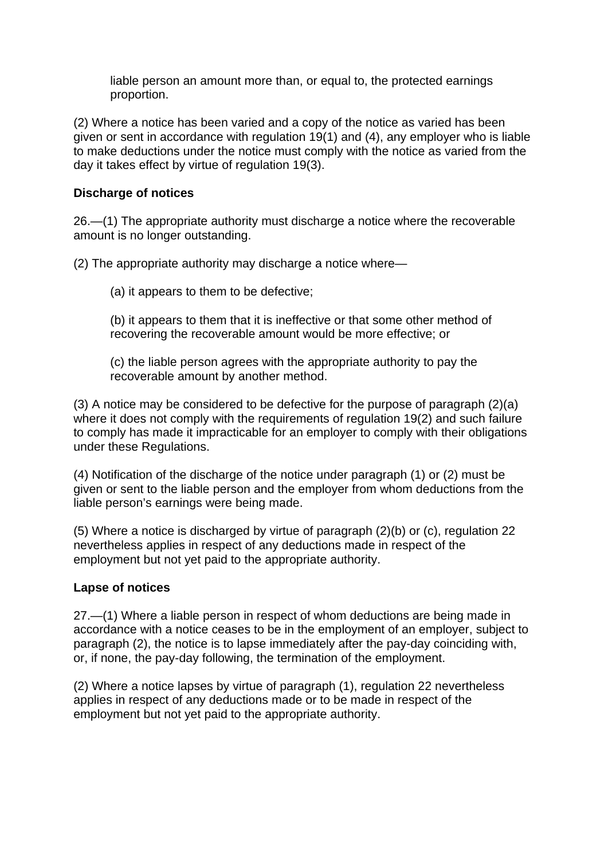liable person an amount more than, or equal to, the protected earnings proportion.

(2) Where a notice has been varied and a copy of the notice as varied has been given or sent in accordance with regulation 19(1) and (4), any employer who is liable to make deductions under the notice must comply with the notice as varied from the day it takes effect by virtue of regulation 19(3).

# **Discharge of notices**

26.—(1) The appropriate authority must discharge a notice where the recoverable amount is no longer outstanding.

(2) The appropriate authority may discharge a notice where—

(a) it appears to them to be defective;

(b) it appears to them that it is ineffective or that some other method of recovering the recoverable amount would be more effective; or

(c) the liable person agrees with the appropriate authority to pay the recoverable amount by another method.

(3) A notice may be considered to be defective for the purpose of paragraph (2)(a) where it does not comply with the requirements of regulation 19(2) and such failure to comply has made it impracticable for an employer to comply with their obligations under these Regulations.

(4) Notification of the discharge of the notice under paragraph (1) or (2) must be given or sent to the liable person and the employer from whom deductions from the liable person's earnings were being made.

(5) Where a notice is discharged by virtue of paragraph (2)(b) or (c), regulation 22 nevertheless applies in respect of any deductions made in respect of the employment but not yet paid to the appropriate authority.

# **Lapse of notices**

27.—(1) Where a liable person in respect of whom deductions are being made in accordance with a notice ceases to be in the employment of an employer, subject to paragraph (2), the notice is to lapse immediately after the pay-day coinciding with, or, if none, the pay-day following, the termination of the employment.

(2) Where a notice lapses by virtue of paragraph (1), regulation 22 nevertheless applies in respect of any deductions made or to be made in respect of the employment but not yet paid to the appropriate authority.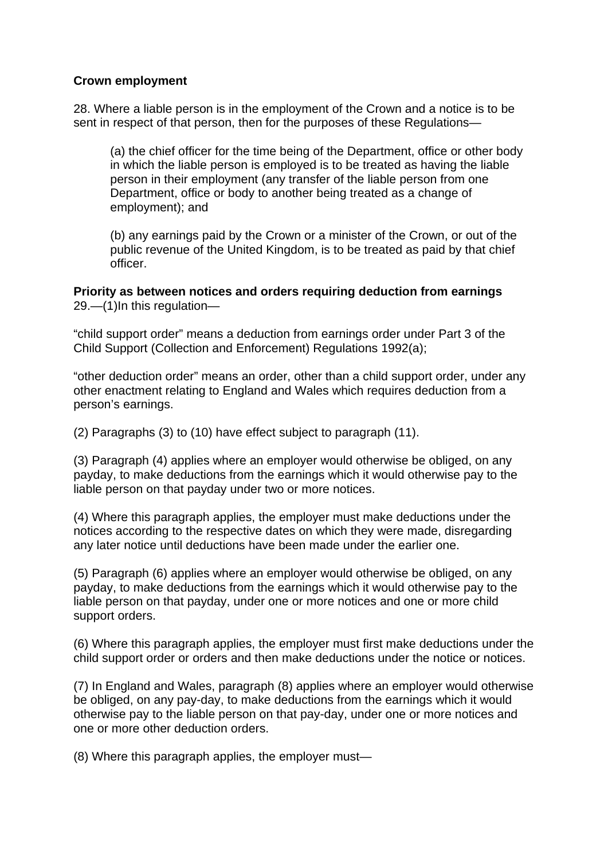### **Crown employment**

28. Where a liable person is in the employment of the Crown and a notice is to be sent in respect of that person, then for the purposes of these Regulations—

(a) the chief officer for the time being of the Department, office or other body in which the liable person is employed is to be treated as having the liable person in their employment (any transfer of the liable person from one Department, office or body to another being treated as a change of employment); and

(b) any earnings paid by the Crown or a minister of the Crown, or out of the public revenue of the United Kingdom, is to be treated as paid by that chief officer.

**Priority as between notices and orders requiring deduction from earnings**  29.—(1)In this regulation—

"child support order" means a deduction from earnings order under Part 3 of the Child Support (Collection and Enforcement) Regulations 1992(a);

"other deduction order" means an order, other than a child support order, under any other enactment relating to England and Wales which requires deduction from a person's earnings.

(2) Paragraphs (3) to (10) have effect subject to paragraph (11).

(3) Paragraph (4) applies where an employer would otherwise be obliged, on any payday, to make deductions from the earnings which it would otherwise pay to the liable person on that payday under two or more notices.

(4) Where this paragraph applies, the employer must make deductions under the notices according to the respective dates on which they were made, disregarding any later notice until deductions have been made under the earlier one.

(5) Paragraph (6) applies where an employer would otherwise be obliged, on any payday, to make deductions from the earnings which it would otherwise pay to the liable person on that payday, under one or more notices and one or more child support orders.

(6) Where this paragraph applies, the employer must first make deductions under the child support order or orders and then make deductions under the notice or notices.

(7) In England and Wales, paragraph (8) applies where an employer would otherwise be obliged, on any pay-day, to make deductions from the earnings which it would otherwise pay to the liable person on that pay-day, under one or more notices and one or more other deduction orders.

(8) Where this paragraph applies, the employer must—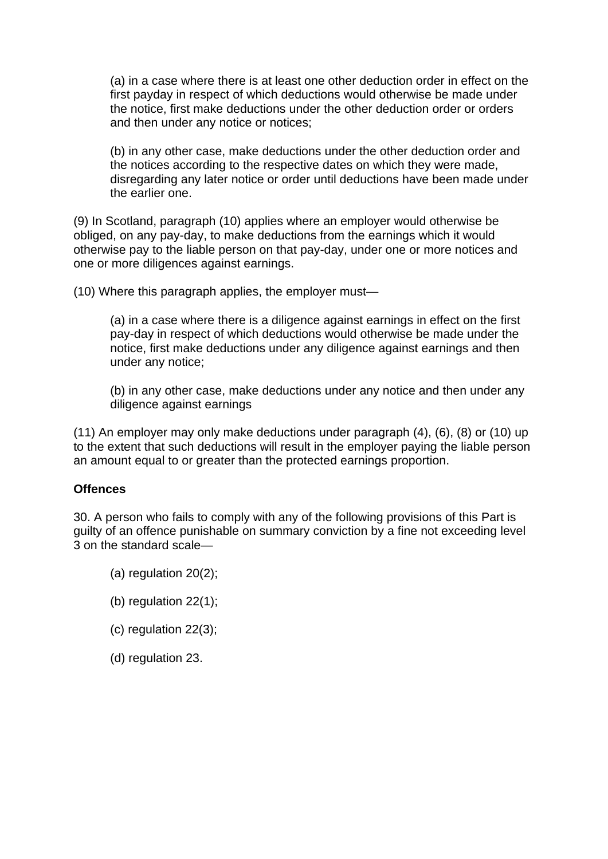(a) in a case where there is at least one other deduction order in effect on the first payday in respect of which deductions would otherwise be made under the notice, first make deductions under the other deduction order or orders and then under any notice or notices;

(b) in any other case, make deductions under the other deduction order and the notices according to the respective dates on which they were made, disregarding any later notice or order until deductions have been made under the earlier one.

(9) In Scotland, paragraph (10) applies where an employer would otherwise be obliged, on any pay-day, to make deductions from the earnings which it would otherwise pay to the liable person on that pay-day, under one or more notices and one or more diligences against earnings.

(10) Where this paragraph applies, the employer must—

(a) in a case where there is a diligence against earnings in effect on the first pay-day in respect of which deductions would otherwise be made under the notice, first make deductions under any diligence against earnings and then under any notice;

(b) in any other case, make deductions under any notice and then under any diligence against earnings

(11) An employer may only make deductions under paragraph (4), (6), (8) or (10) up to the extent that such deductions will result in the employer paying the liable person an amount equal to or greater than the protected earnings proportion.

### **Offences**

30. A person who fails to comply with any of the following provisions of this Part is guilty of an offence punishable on summary conviction by a fine not exceeding level 3 on the standard scale—

- (a) regulation 20(2);
- (b) regulation 22(1);
- (c) regulation 22(3);
- (d) regulation 23.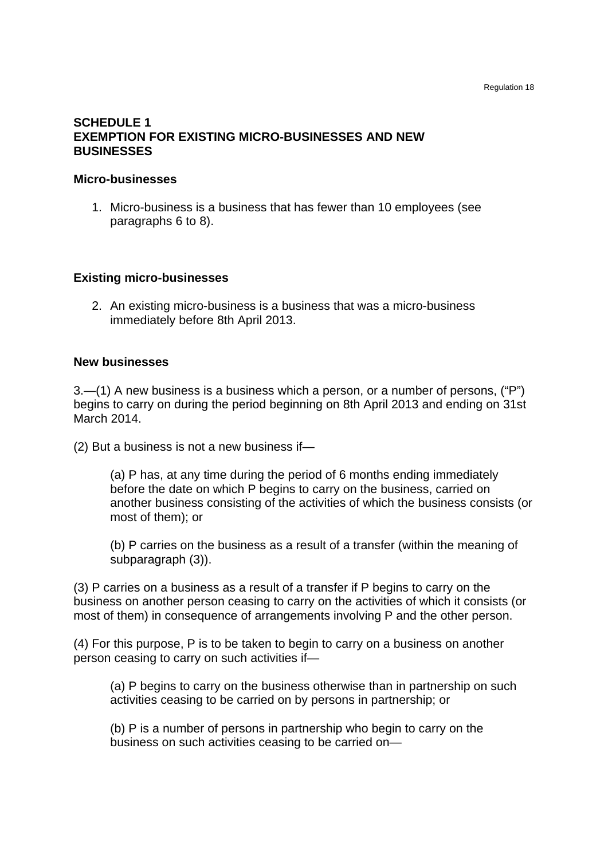### **SCHEDULE 1 EXEMPTION FOR EXISTING MICRO-BUSINESSES AND NEW BUSINESSES**

#### **Micro-businesses**

1. Micro-business is a business that has fewer than 10 employees (see paragraphs 6 to 8).

#### **Existing micro-businesses**

2. An existing micro-business is a business that was a micro-business immediately before 8th April 2013.

#### **New businesses**

3.—(1) A new business is a business which a person, or a number of persons, ("P") begins to carry on during the period beginning on 8th April 2013 and ending on 31st March 2014.

(2) But a business is not a new business if—

(a) P has, at any time during the period of 6 months ending immediately before the date on which P begins to carry on the business, carried on another business consisting of the activities of which the business consists (or most of them); or

(b) P carries on the business as a result of a transfer (within the meaning of subparagraph (3)).

(3) P carries on a business as a result of a transfer if P begins to carry on the business on another person ceasing to carry on the activities of which it consists (or most of them) in consequence of arrangements involving P and the other person.

(4) For this purpose, P is to be taken to begin to carry on a business on another person ceasing to carry on such activities if—

(a) P begins to carry on the business otherwise than in partnership on such activities ceasing to be carried on by persons in partnership; or

(b) P is a number of persons in partnership who begin to carry on the business on such activities ceasing to be carried on—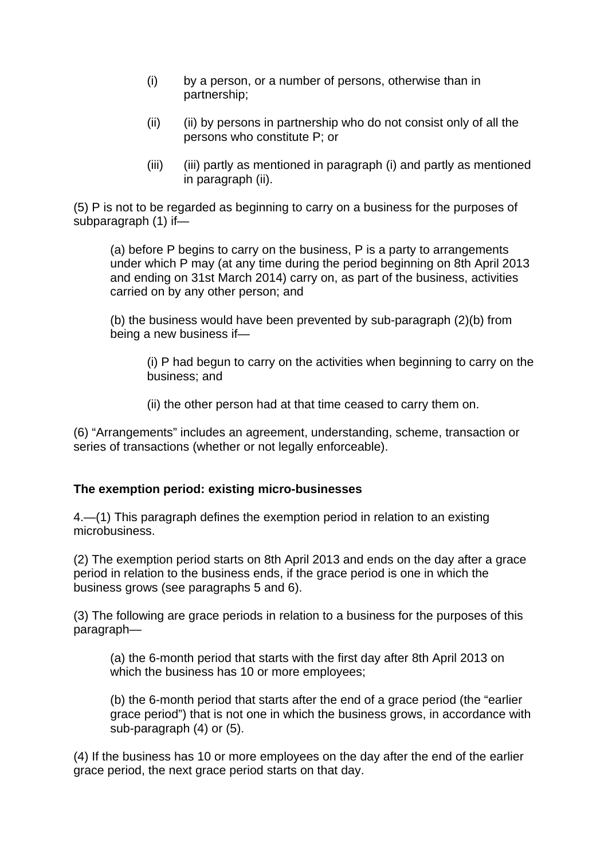- (i) by a person, or a number of persons, otherwise than in partnership;
- (ii) (ii) by persons in partnership who do not consist only of all the persons who constitute P; or
- (iii) (iii) partly as mentioned in paragraph (i) and partly as mentioned in paragraph (ii).

(5) P is not to be regarded as beginning to carry on a business for the purposes of subparagraph (1) if—

(a) before P begins to carry on the business, P is a party to arrangements under which P may (at any time during the period beginning on 8th April 2013 and ending on 31st March 2014) carry on, as part of the business, activities carried on by any other person; and

(b) the business would have been prevented by sub-paragraph (2)(b) from being a new business if—

(i) P had begun to carry on the activities when beginning to carry on the business; and

(ii) the other person had at that time ceased to carry them on.

(6) "Arrangements" includes an agreement, understanding, scheme, transaction or series of transactions (whether or not legally enforceable).

# **The exemption period: existing micro-businesses**

4.—(1) This paragraph defines the exemption period in relation to an existing microbusiness.

(2) The exemption period starts on 8th April 2013 and ends on the day after a grace period in relation to the business ends, if the grace period is one in which the business grows (see paragraphs 5 and 6).

(3) The following are grace periods in relation to a business for the purposes of this paragraph—

(a) the 6-month period that starts with the first day after 8th April 2013 on which the business has 10 or more employees;

(b) the 6-month period that starts after the end of a grace period (the "earlier grace period") that is not one in which the business grows, in accordance with sub-paragraph (4) or (5).

(4) If the business has 10 or more employees on the day after the end of the earlier grace period, the next grace period starts on that day.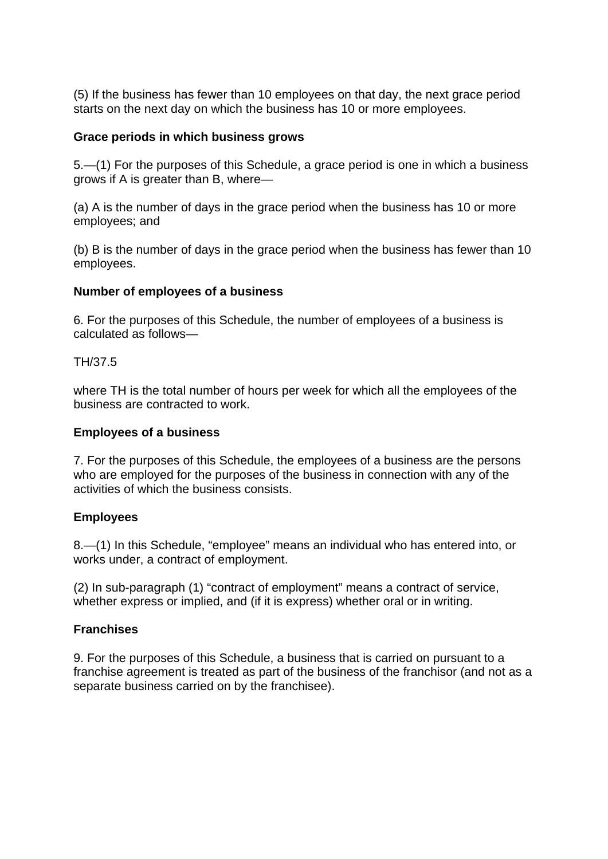(5) If the business has fewer than 10 employees on that day, the next grace period starts on the next day on which the business has 10 or more employees.

### **Grace periods in which business grows**

5.—(1) For the purposes of this Schedule, a grace period is one in which a business grows if A is greater than B, where—

(a) A is the number of days in the grace period when the business has 10 or more employees; and

(b) B is the number of days in the grace period when the business has fewer than 10 employees.

#### **Number of employees of a business**

6. For the purposes of this Schedule, the number of employees of a business is calculated as follows—

TH/37.5

where TH is the total number of hours per week for which all the employees of the business are contracted to work.

#### **Employees of a business**

7. For the purposes of this Schedule, the employees of a business are the persons who are employed for the purposes of the business in connection with any of the activities of which the business consists.

### **Employees**

8.—(1) In this Schedule, "employee" means an individual who has entered into, or works under, a contract of employment.

(2) In sub-paragraph (1) "contract of employment" means a contract of service, whether express or implied, and (if it is express) whether oral or in writing.

### **Franchises**

9. For the purposes of this Schedule, a business that is carried on pursuant to a franchise agreement is treated as part of the business of the franchisor (and not as a separate business carried on by the franchisee).